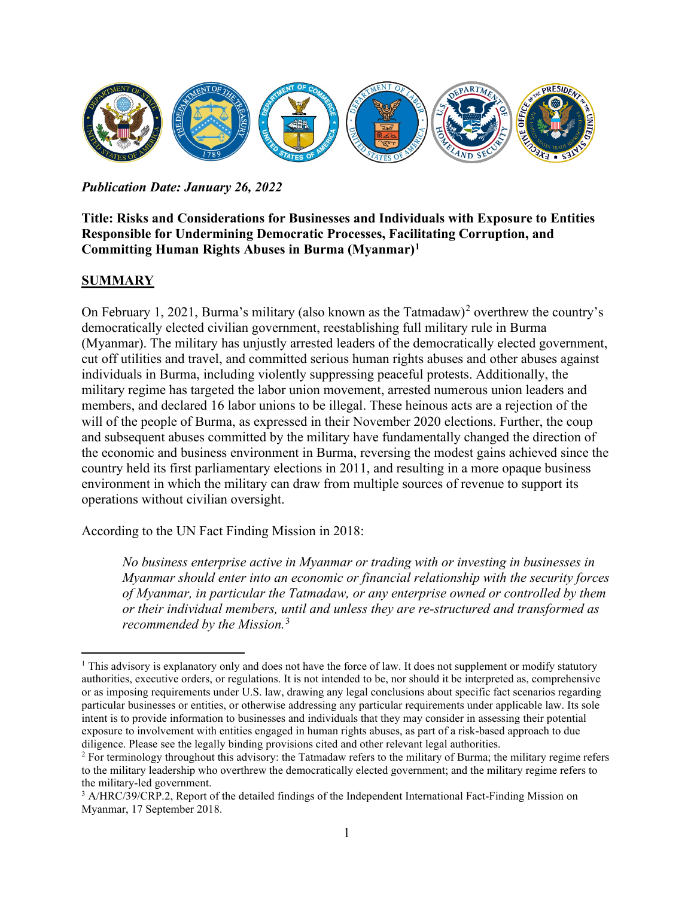

*Publication Date: January 26, 2022*

### **Title: Risks and Considerations for Businesses and Individuals with Exposure to Entities Responsible for Undermining Democratic Processes, Facilitating Corruption, and Committing Human Rights Abuses in Burma (Myanmar[\)1](#page-0-0)**

### **SUMMARY**

On February 1, [2](#page-0-1)021, Burma's military (also known as the Tatmadaw)<sup>2</sup> overthrew the country's democratically elected civilian government, reestablishing full military rule in Burma (Myanmar). The military has unjustly arrested leaders of the democratically elected government, cut off utilities and travel, and committed serious human rights abuses and other abuses against individuals in Burma, including violently suppressing peaceful protests. Additionally, the military regime has targeted the labor union movement, arrested numerous union leaders and members, and declared 16 labor unions to be illegal. These heinous acts are a rejection of the will of the people of Burma, as expressed in their November 2020 elections. Further, the coup and subsequent abuses committed by the military have fundamentally changed the direction of the economic and business environment in Burma, reversing the modest gains achieved since the country held its first parliamentary elections in 2011, and resulting in a more opaque business environment in which the military can draw from multiple sources of revenue to support its operations without civilian oversight.

According to the UN Fact Finding Mission in 2018:

*No business enterprise active in Myanmar or trading with or investing in businesses in Myanmar should enter into an economic or financial relationship with the security forces of Myanmar, in particular the Tatmadaw, or any enterprise owned or controlled by them or their individual members, until and unless they are re-structured and transformed as recommended by the Mission.*[3](#page-0-2)

<span id="page-0-0"></span><sup>&</sup>lt;sup>1</sup> This advisory is explanatory only and does not have the force of law. It does not supplement or modify statutory authorities, executive orders, or regulations. It is not intended to be, nor should it be interpreted as, comprehensive or as imposing requirements under U.S. law, drawing any legal conclusions about specific fact scenarios regarding particular businesses or entities, or otherwise addressing any particular requirements under applicable law. Its sole intent is to provide information to businesses and individuals that they may consider in assessing their potential exposure to involvement with entities engaged in human rights abuses, as part of a risk-based approach to due diligence. Please see the legally binding provisions cited and other relevant legal authorities.

<span id="page-0-1"></span><sup>&</sup>lt;sup>2</sup> For terminology throughout this advisory: the Tatmadaw refers to the military of Burma; the military regime refers to the military leadership who overthrew the democratically elected government; and the military regime refers to the military-led government.

<span id="page-0-2"></span><sup>&</sup>lt;sup>3</sup> A/HRC/39/CRP.2, Report of the detailed findings of the Independent International Fact-Finding Mission on Myanmar, 17 September 2018.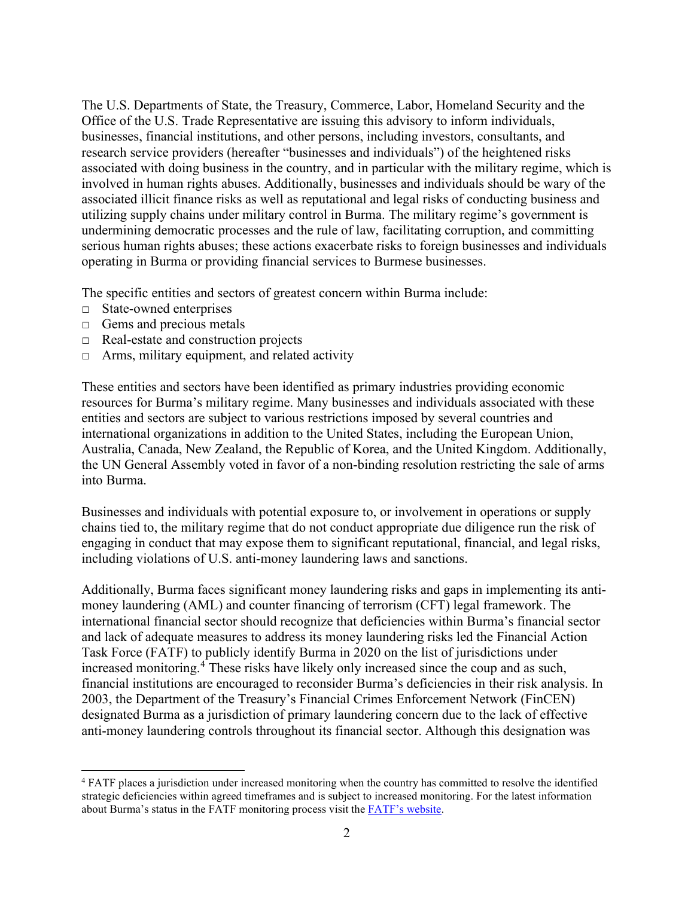The U.S. Departments of State, the Treasury, Commerce, Labor, Homeland Security and the Office of the U.S. Trade Representative are issuing this advisory to inform individuals, businesses, financial institutions, and other persons, including investors, consultants, and research service providers (hereafter "businesses and individuals") of the heightened risks associated with doing business in the country, and in particular with the military regime, which is involved in human rights abuses. Additionally, businesses and individuals should be wary of the associated illicit finance risks as well as reputational and legal risks of conducting business and utilizing supply chains under military control in Burma. The military regime's government is undermining democratic processes and the rule of law, facilitating corruption, and committing serious human rights abuses; these actions exacerbate risks to foreign businesses and individuals operating in Burma or providing financial services to Burmese businesses.

The specific entities and sectors of greatest concern within Burma include:

- □ State-owned enterprises
- $\Box$  Gems and precious metals
- □ Real-estate and construction projects
- $\Box$  Arms, military equipment, and related activity

These entities and sectors have been identified as primary industries providing economic resources for Burma's military regime. Many businesses and individuals associated with these entities and sectors are subject to various restrictions imposed by several countries and international organizations in addition to the United States, including the European Union, Australia, Canada, New Zealand, the Republic of Korea, and the United Kingdom. Additionally, the UN General Assembly voted in favor of a non-binding resolution restricting the sale of arms into Burma.

Businesses and individuals with potential exposure to, or involvement in operations or supply chains tied to, the military regime that do not conduct appropriate due diligence run the risk of engaging in conduct that may expose them to significant reputational, financial, and legal risks, including violations of U.S. anti-money laundering laws and sanctions.

Additionally, Burma faces significant money laundering risks and gaps in implementing its antimoney laundering (AML) and counter financing of terrorism (CFT) legal framework. The international financial sector should recognize that deficiencies within Burma's financial sector and lack of adequate measures to address its money laundering risks led the Financial Action Task Force (FATF) to publicly identify Burma in 2020 on the list of jurisdictions under increased monitoring.<sup>[4](#page-1-0)</sup> These risks have likely only increased since the coup and as such, financial institutions are encouraged to reconsider Burma's deficiencies in their risk analysis. In 2003, the Department of the Treasury's Financial Crimes Enforcement Network (FinCEN) designated Burma as a jurisdiction of primary laundering concern due to the lack of effective anti-money laundering controls throughout its financial sector. Although this designation was

<span id="page-1-0"></span><sup>4</sup> FATF places a jurisdiction under increased monitoring when the country has committed to resolve the identified strategic deficiencies within agreed timeframes and is subject to increased monitoring. For the latest information about Burma's status in the FATF monitoring process visit the [FATF's website.](https://www.fatf-gafi.org/publications/high-risk-and-other-monitored-jurisdictions/?hf=10&b=0&s=desc(fatf_releasedate))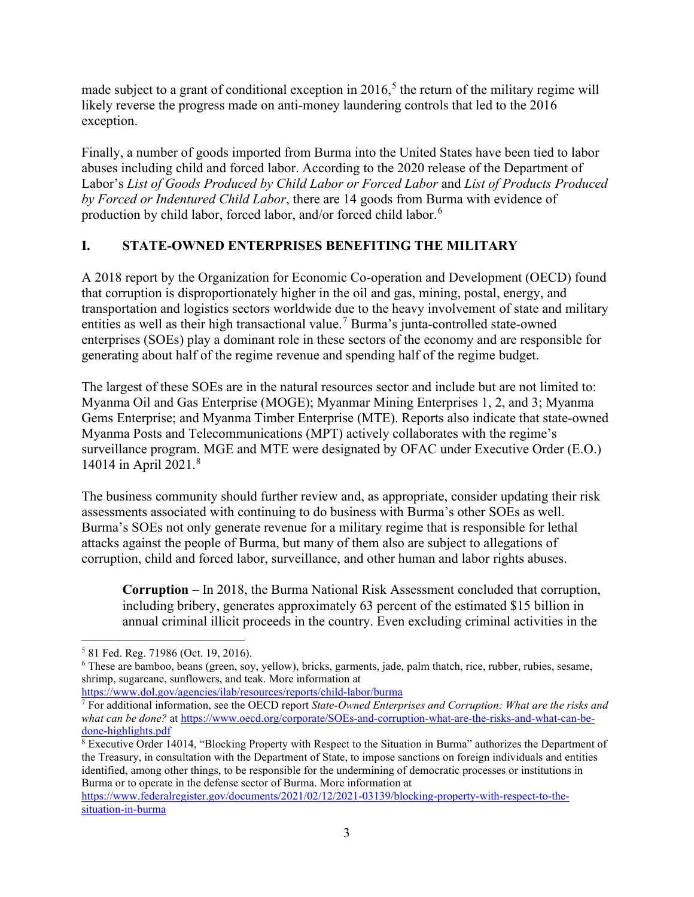made subject to a grant of conditional exception in  $2016<sup>5</sup>$  $2016<sup>5</sup>$  $2016<sup>5</sup>$ , the return of the military regime will likely reverse the progress made on anti-money laundering controls that led to the 2016 exception.

Finally, a number of goods imported from Burma into the United States have been tied to labor abuses including child and forced labor. According to the 2020 release of the Department of Labor's *List of Goods Produced by Child Labor or Forced Labor* and *List of Products Produced by Forced or Indentured Child Labor*, there are 14 goods from Burma with evidence of production by child labor, forced labor, and/or forced child labor.[6](#page-2-1)

# **I. STATE-OWNED ENTERPRISES BENEFITING THE MILITARY**

A 2018 report by the Organization for Economic Co-operation and Development (OECD) found that corruption is disproportionately higher in the oil and gas, mining, postal, energy, and transportation and logistics sectors worldwide due to the heavy involvement of state and military entities as well as their high transactional value.[7](#page-2-2) Burma's junta-controlled state-owned enterprises (SOEs) play a dominant role in these sectors of the economy and are responsible for generating about half of the regime revenue and spending half of the regime budget.

The largest of these SOEs are in the natural resources sector and include but are not limited to: Myanma Oil and Gas Enterprise (MOGE); Myanmar Mining Enterprises 1, 2, and 3; Myanma Gems Enterprise; and Myanma Timber Enterprise (MTE). Reports also indicate that state-owned Myanma Posts and Telecommunications (MPT) actively collaborates with the regime's surveillance program. MGE and MTE were designated by OFAC under Executive Order (E.O.) 14014 in April 2021.[8](#page-2-3)

The business community should further review and, as appropriate, consider updating their risk assessments associated with continuing to do business with Burma's other SOEs as well. Burma's SOEs not only generate revenue for a military regime that is responsible for lethal attacks against the people of Burma, but many of them also are subject to allegations of corruption, child and forced labor, surveillance, and other human and labor rights abuses.

**Corruption** – In 2018, the Burma National Risk Assessment concluded that corruption, including bribery, generates approximately 63 percent of the estimated \$15 billion in annual criminal illicit proceeds in the country. Even excluding criminal activities in the

<span id="page-2-0"></span><sup>5</sup> 81 Fed. Reg. 71986 (Oct. 19, 2016).

<span id="page-2-1"></span><sup>6</sup> These are bamboo, beans (green, soy, yellow), bricks, garments, jade, palm thatch, rice, rubber, rubies, sesame, shrimp, sugarcane, sunflowers, and teak. More information at

<https://www.dol.gov/agencies/ilab/resources/reports/child-labor/burma>

<span id="page-2-2"></span><sup>7</sup> For additional information, see the OECD report *State-Owned Enterprises and Corruption: What are the risks and what can be done?* a[t https://www.oecd.org/corporate/SOEs-and-corruption-what-are-the-risks-and-what-can-be](https://www.oecd.org/corporate/SOEs-and-corruption-what-are-the-risks-and-what-can-be-done-highlights.pdf)[done-highlights.pdf](https://www.oecd.org/corporate/SOEs-and-corruption-what-are-the-risks-and-what-can-be-done-highlights.pdf)

<span id="page-2-3"></span><sup>8</sup> Executive Order 14014, "Blocking Property with Respect to the Situation in Burma" authorizes the Department of the Treasury, in consultation with the Department of State, to impose sanctions on foreign individuals and entities identified, among other things, to be responsible for the undermining of democratic processes or institutions in Burma or to operate in the defense sector of Burma. More information at

[https://www.federalregister.gov/documents/2021/02/12/2021-03139/blocking-property-with-respect-to-the](https://www.federalregister.gov/documents/2021/02/12/2021-03139/blocking-property-with-respect-to-the-situation-in-burma)[situation-in-burma](https://www.federalregister.gov/documents/2021/02/12/2021-03139/blocking-property-with-respect-to-the-situation-in-burma)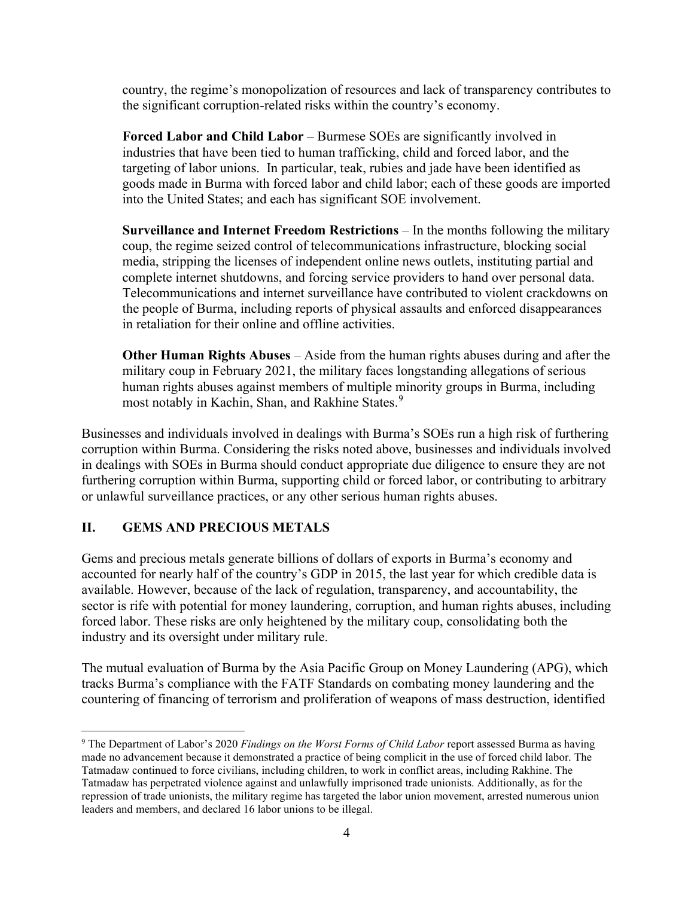country, the regime's monopolization of resources and lack of transparency contributes to the significant corruption-related risks within the country's economy.

**Forced Labor and Child Labor** – Burmese SOEs are significantly involved in industries that have been tied to human trafficking, child and forced labor, and the targeting of labor unions. In particular, teak, rubies and jade have been identified as goods made in Burma with forced labor and child labor; each of these goods are imported into the United States; and each has significant SOE involvement.

**Surveillance and Internet Freedom Restrictions** – In the months following the military coup, the regime seized control of telecommunications infrastructure, blocking social media, stripping the licenses of independent online news outlets, instituting partial and complete internet shutdowns, and forcing service providers to hand over personal data. Telecommunications and internet surveillance have contributed to violent crackdowns on the people of Burma, including reports of physical assaults and enforced disappearances in retaliation for their online and offline activities.

**Other Human Rights Abuses** – Aside from the human rights abuses during and after the military coup in February 2021, the military faces longstanding allegations of serious human rights abuses against members of multiple minority groups in Burma, including most notably in Kachin, Shan, and Rakhine States.<sup>[9](#page-3-0)</sup>

Businesses and individuals involved in dealings with Burma's SOEs run a high risk of furthering corruption within Burma. Considering the risks noted above, businesses and individuals involved in dealings with SOEs in Burma should conduct appropriate due diligence to ensure they are not furthering corruption within Burma, supporting child or forced labor, or contributing to arbitrary or unlawful surveillance practices, or any other serious human rights abuses.

# **II. GEMS AND PRECIOUS METALS**

Gems and precious metals generate billions of dollars of exports in Burma's economy and accounted for nearly half of the country's GDP in 2015, the last year for which credible data is available. However, because of the lack of regulation, transparency, and accountability, the sector is rife with potential for money laundering, corruption, and human rights abuses, including forced labor. These risks are only heightened by the military coup, consolidating both the industry and its oversight under military rule.

The mutual evaluation of Burma by the Asia Pacific Group on Money Laundering (APG), which tracks Burma's compliance with the FATF Standards on combating money laundering and the countering of financing of terrorism and proliferation of weapons of mass destruction, identified

<span id="page-3-0"></span><sup>9</sup> The Department of Labor's 2020 *Findings on the Worst Forms of Child Labor* report assessed Burma as having made no advancement because it demonstrated a practice of being complicit in the use of forced child labor. The Tatmadaw continued to force civilians, including children, to work in conflict areas, including Rakhine. The Tatmadaw has perpetrated violence against and unlawfully imprisoned trade unionists. Additionally, as for the repression of trade unionists, the military regime has targeted the labor union movement, arrested numerous union leaders and members, and declared 16 labor unions to be illegal.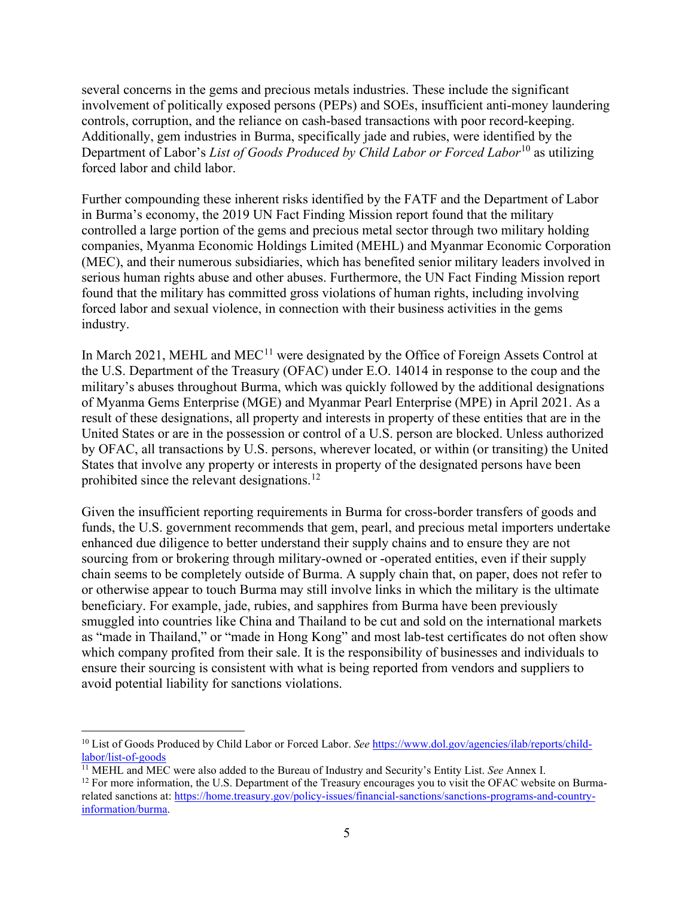several concerns in the gems and precious metals industries. These include the significant involvement of politically exposed persons (PEPs) and SOEs, insufficient anti-money laundering controls, corruption, and the reliance on cash-based transactions with poor record-keeping. Additionally, gem industries in Burma, specifically jade and rubies, were identified by the Department of Labor's *List of Goods Produced by Child Labor or Forced Labor*[10](#page-4-0) as utilizing forced labor and child labor.

Further compounding these inherent risks identified by the FATF and the Department of Labor in Burma's economy, the 2019 UN Fact Finding Mission report found that the military controlled a large portion of the gems and precious metal sector through two military holding companies, Myanma Economic Holdings Limited (MEHL) and Myanmar Economic Corporation (MEC), and their numerous subsidiaries, which has benefited senior military leaders involved in serious human rights abuse and other abuses. Furthermore, the UN Fact Finding Mission report found that the military has committed gross violations of human rights, including involving forced labor and sexual violence, in connection with their business activities in the gems industry.

In March 2021, MEHL and MEC<sup>[11](#page-4-1)</sup> were designated by the Office of Foreign Assets Control at the U.S. Department of the Treasury (OFAC) under E.O. 14014 in response to the coup and the military's abuses throughout Burma, which was quickly followed by the additional designations of Myanma Gems Enterprise (MGE) and Myanmar Pearl Enterprise (MPE) in April 2021. As a result of these designations, all property and interests in property of these entities that are in the United States or are in the possession or control of a U.S. person are blocked. Unless authorized by OFAC, all transactions by U.S. persons, wherever located, or within (or transiting) the United States that involve any property or interests in property of the designated persons have been prohibited since the relevant designations.<sup>[12](#page-4-2)</sup>

Given the insufficient reporting requirements in Burma for cross-border transfers of goods and funds, the U.S. government recommends that gem, pearl, and precious metal importers undertake enhanced due diligence to better understand their supply chains and to ensure they are not sourcing from or brokering through military-owned or -operated entities, even if their supply chain seems to be completely outside of Burma. A supply chain that, on paper, does not refer to or otherwise appear to touch Burma may still involve links in which the military is the ultimate beneficiary. For example, jade, rubies, and sapphires from Burma have been previously smuggled into countries like China and Thailand to be cut and sold on the international markets as "made in Thailand," or "made in Hong Kong" and most lab-test certificates do not often show which company profited from their sale. It is the responsibility of businesses and individuals to ensure their sourcing is consistent with what is being reported from vendors and suppliers to avoid potential liability for sanctions violations.

<span id="page-4-0"></span><sup>&</sup>lt;sup>10</sup> List of Goods Produced by Child Labor or Forced Labor. *See* [https://www.dol.gov/agencies/ilab/reports/child](https://www.dol.gov/agencies/ilab/reports/child-labor/list-of-goods)[labor/list-of-goods](https://www.dol.gov/agencies/ilab/reports/child-labor/list-of-goods)

<span id="page-4-1"></span><sup>11</sup> MEHL and MEC were also added to the Bureau of Industry and Security's Entity List. *See* Annex I.

<span id="page-4-2"></span> $12$  For more information, the U.S. Department of the Treasury encourages you to visit the OFAC website on Burmarelated sanctions at: [https://home.treasury.gov/policy-issues/financial-sanctions/sanctions-programs-and-country](https://home.treasury.gov/policy-issues/financial-sanctions/sanctions-programs-and-country-information/burma)[information/burma.](https://home.treasury.gov/policy-issues/financial-sanctions/sanctions-programs-and-country-information/burma)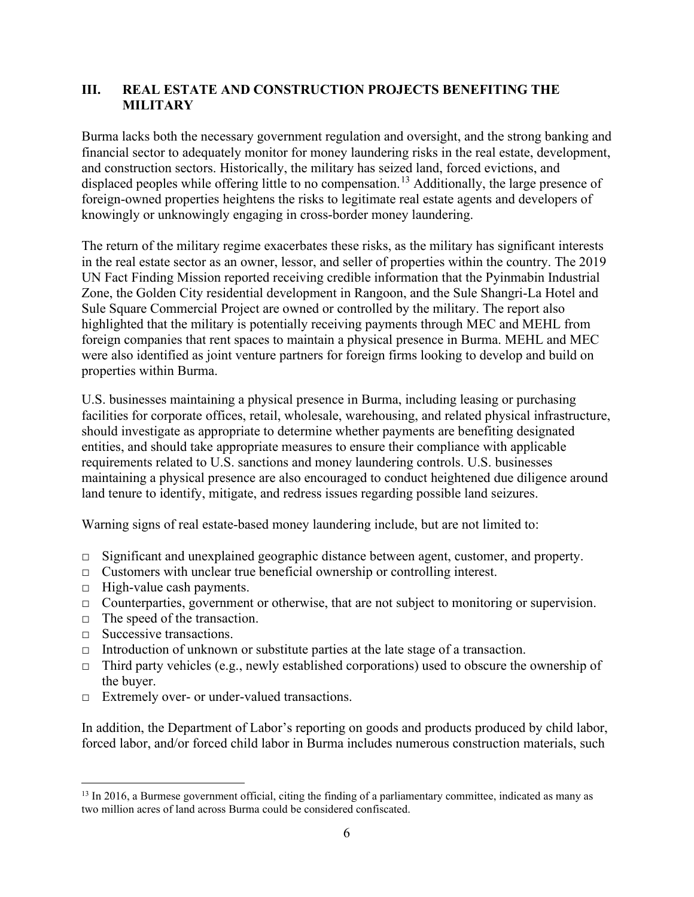# **III. REAL ESTATE AND CONSTRUCTION PROJECTS BENEFITING THE MILITARY**

Burma lacks both the necessary government regulation and oversight, and the strong banking and financial sector to adequately monitor for money laundering risks in the real estate, development, and construction sectors. Historically, the military has seized land, forced evictions, and displaced peoples while offering little to no compensation.<sup>[13](#page-5-0)</sup> Additionally, the large presence of foreign-owned properties heightens the risks to legitimate real estate agents and developers of knowingly or unknowingly engaging in cross-border money laundering.

The return of the military regime exacerbates these risks, as the military has significant interests in the real estate sector as an owner, lessor, and seller of properties within the country. The 2019 UN Fact Finding Mission reported receiving credible information that the Pyinmabin Industrial Zone, the Golden City residential development in Rangoon, and the Sule Shangri-La Hotel and Sule Square Commercial Project are owned or controlled by the military. The report also highlighted that the military is potentially receiving payments through MEC and MEHL from foreign companies that rent spaces to maintain a physical presence in Burma. MEHL and MEC were also identified as joint venture partners for foreign firms looking to develop and build on properties within Burma.

U.S. businesses maintaining a physical presence in Burma, including leasing or purchasing facilities for corporate offices, retail, wholesale, warehousing, and related physical infrastructure, should investigate as appropriate to determine whether payments are benefiting designated entities, and should take appropriate measures to ensure their compliance with applicable requirements related to U.S. sanctions and money laundering controls. U.S. businesses maintaining a physical presence are also encouraged to conduct heightened due diligence around land tenure to identify, mitigate, and redress issues regarding possible land seizures.

Warning signs of real estate-based money laundering include, but are not limited to:

- $\Box$  Significant and unexplained geographic distance between agent, customer, and property.
- $\Box$  Customers with unclear true beneficial ownership or controlling interest.
- $\Box$  High-value cash payments.
- $\Box$  Counterparties, government or otherwise, that are not subject to monitoring or supervision.
- $\Box$  The speed of the transaction.
- □ Successive transactions.
- $\Box$  Introduction of unknown or substitute parties at the late stage of a transaction.
- $\Box$  Third party vehicles (e.g., newly established corporations) used to obscure the ownership of the buyer.
- □ Extremely over- or under-valued transactions.

In addition, the Department of Labor's reporting on goods and products produced by child labor, forced labor, and/or forced child labor in Burma includes numerous construction materials, such

<span id="page-5-0"></span><sup>&</sup>lt;sup>13</sup> In 2016, a Burmese government official, citing the finding of a parliamentary committee, indicated as many as two million acres of land across Burma could be considered confiscated.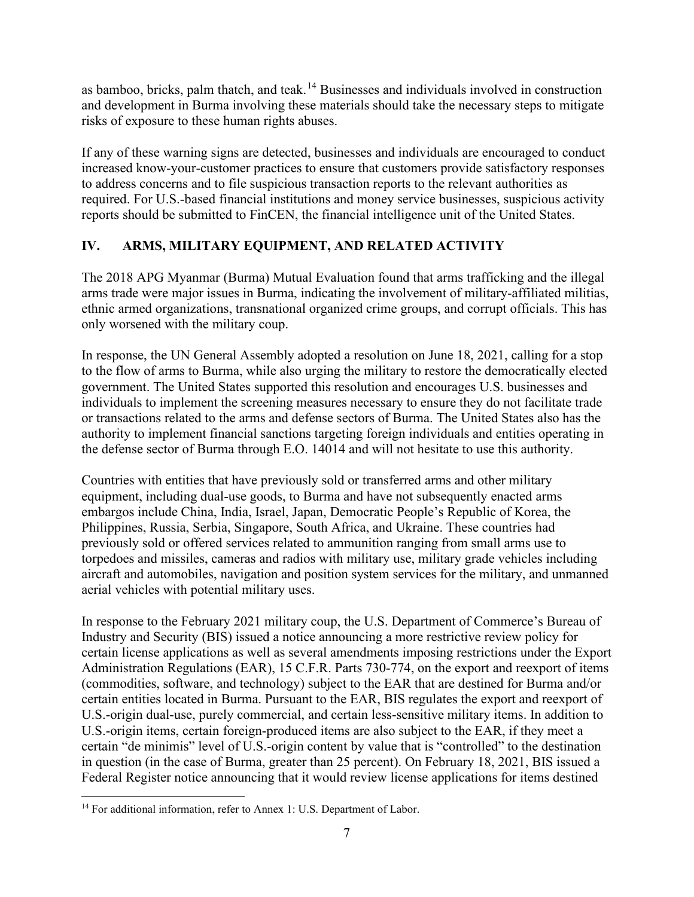as bamboo, bricks, palm thatch, and teak.<sup>[14](#page-6-0)</sup> Businesses and individuals involved in construction and development in Burma involving these materials should take the necessary steps to mitigate risks of exposure to these human rights abuses.

If any of these warning signs are detected, businesses and individuals are encouraged to conduct increased know-your-customer practices to ensure that customers provide satisfactory responses to address concerns and to file suspicious transaction reports to the relevant authorities as required. For U.S.-based financial institutions and money service businesses, suspicious activity reports should be submitted to FinCEN, the financial intelligence unit of the United States.

# **IV. ARMS, MILITARY EQUIPMENT, AND RELATED ACTIVITY**

The 2018 APG Myanmar (Burma) Mutual Evaluation found that arms trafficking and the illegal arms trade were major issues in Burma, indicating the involvement of military-affiliated militias, ethnic armed organizations, transnational organized crime groups, and corrupt officials. This has only worsened with the military coup.

In response, the UN General Assembly adopted a resolution on June 18, 2021, calling for a stop to the flow of arms to Burma, while also urging the military to restore the democratically elected government. The United States supported this resolution and encourages U.S. businesses and individuals to implement the screening measures necessary to ensure they do not facilitate trade or transactions related to the arms and defense sectors of Burma. The United States also has the authority to implement financial sanctions targeting foreign individuals and entities operating in the defense sector of Burma through E.O. 14014 and will not hesitate to use this authority.

Countries with entities that have previously sold or transferred arms and other military equipment, including dual-use goods, to Burma and have not subsequently enacted arms embargos include China, India, Israel, Japan, Democratic People's Republic of Korea, the Philippines, Russia, Serbia, Singapore, South Africa, and Ukraine. These countries had previously sold or offered services related to ammunition ranging from small arms use to torpedoes and missiles, cameras and radios with military use, military grade vehicles including aircraft and automobiles, navigation and position system services for the military, and unmanned aerial vehicles with potential military uses.

In response to the February 2021 military coup, the U.S. Department of Commerce's Bureau of Industry and Security (BIS) issued a notice announcing a more restrictive review policy for certain license applications as well as several amendments imposing restrictions under the Export Administration Regulations (EAR), 15 C.F.R. Parts 730-774, on the export and reexport of items (commodities, software, and technology) subject to the EAR that are destined for Burma and/or certain entities located in Burma. Pursuant to the EAR, BIS regulates the export and reexport of U.S.-origin dual-use, purely commercial, and certain less-sensitive military items. In addition to U.S.-origin items, certain foreign-produced items are also subject to the EAR, if they meet a certain "de minimis" level of U.S.-origin content by value that is "controlled" to the destination in question (in the case of Burma, greater than 25 percent). On February 18, 2021, BIS issued a Federal Register notice announcing that it would review license applications for items destined

<span id="page-6-0"></span><sup>&</sup>lt;sup>14</sup> For additional information, refer to Annex 1: U.S. Department of Labor.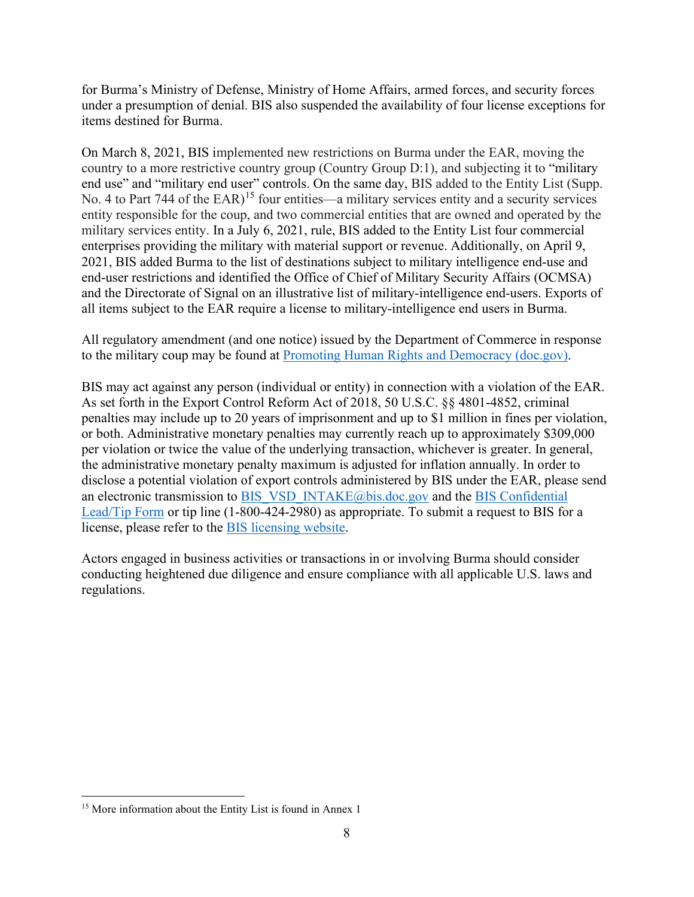for Burma's Ministry of Defense, Ministry of Home Affairs, armed forces, and security forces under a presumption of denial. BIS also suspended the availability of four license exceptions for items destined for Burma.

On March 8, 2021, BIS implemented new restrictions on Burma under the EAR, moving the country to a more restrictive country group (Country Group D:1), and subjecting it to "military end use" and "military end user" controls. On the same day, BIS added to the Entity List (Supp. No. 4 to Part 744 of the EAR)<sup>[15](#page-7-0)</sup> four entities—a military services entity and a security services entity responsible for the coup, and two commercial entities that are owned and operated by the military services entity. In a July 6, 2021, rule, BIS added to the Entity List four commercial enterprises providing the military with material support or revenue. Additionally, on April 9, 2021, BIS added Burma to the list of destinations subject to military intelligence end-use and end-user restrictions and identified the Office of Chief of Military Security Affairs (OCMSA) and the Directorate of Signal on an illustrative list of military-intelligence end-users. Exports of all items subject to the EAR require a license to military-intelligence end users in Burma.

All regulatory amendment (and one notice) issued by the Department of Commerce in response to the military coup may be found at [Promoting Human Rights and](https://www.bis.doc.gov/index.php/policy-guidance/promoting-human-rights-and-democracy) Democracy (doc.gov).

BIS may act against any person (individual or entity) in connection with a violation of the EAR. As set forth in the Export Control Reform Act of 2018, 50 U.S.C. §§ 4801-4852, criminal penalties may include up to 20 years of imprisonment and up to \$1 million in fines per violation, or both. Administrative monetary penalties may currently reach up to approximately \$309,000 per violation or twice the value of the underlying transaction, whichever is greater. In general, the administrative monetary penalty maximum is adjusted for inflation annually. In order to disclose a potential violation of export controls administered by BIS under the EAR, please send an electronic transmission to [BIS\\_VSD\\_INTAKE@bis.doc.gov](mailto:BIS_VSD_INTAKE@bis.doc.gov) and the BIS Confidential [Lead/Tip Form](https://bis.doc.gov/index.php/component/rsform/form/14?task=forms.edit) or tip line (1-800-424-2980) as appropriate. To submit a request to BIS for a license, please refer to the [BIS licensing website.](https://www.bis.doc.gov/index.php/licensing)

Actors engaged in business activities or transactions in or involving Burma should consider conducting heightened due diligence and ensure compliance with all applicable U.S. laws and regulations.

<span id="page-7-0"></span><sup>&</sup>lt;sup>15</sup> More information about the Entity List is found in Annex 1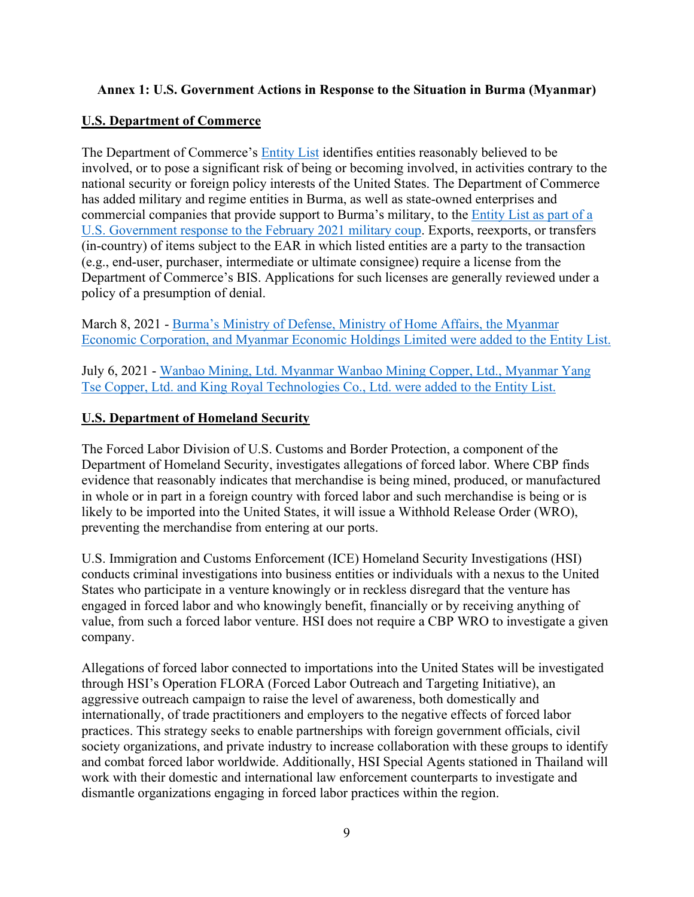### **Annex 1: U.S. Government Actions in Response to the Situation in Burma (Myanmar)**

### **U.S. Department of Commerce**

The Department of Commerce's [Entity List](https://www.bis.doc.gov/index.php/policy-guidance/lists-of-parties-of-concern/entity-list) identifies entities reasonably believed to be involved, or to pose a significant risk of being or becoming involved, in activities contrary to the national security or foreign policy interests of the United States. The Department of Commerce has added military and regime entities in Burma, as well as state-owned enterprises and commercial companies that provide support to Burma's military, to the [Entity List](https://www.bis.doc.gov/index.php/policy-guidance/lists-of-parties-of-concern/entity-list) as part of a U.S. Government response to the February 2021 military coup. Exports, reexports, or transfers (in-country) of items subject to the EAR in which listed entities are a party to the transaction (e.g., end-user, purchaser, intermediate or ultimate consignee) require a license from the Department of Commerce's BIS. Applications for such licenses are generally reviewed under a policy of a presumption of denial.

March 8, 2021 - [Burma's Ministry of Defense, Ministry of Home Affairs, the Myanmar](https://www.federalregister.gov/documents/2021/03/08/2021-04794/addition-of-entities-to-the-entity-list)  [Economic Corporation, and Myanmar Economic Holdings Limited were](https://www.federalregister.gov/documents/2021/03/08/2021-04794/addition-of-entities-to-the-entity-list) added to the Entity List.

July 6, 2021 - [Wanbao Mining, Ltd. Myanmar Wanbao Mining Copper, Ltd., Myanmar Yang](https://www.federalregister.gov/documents/2021/07/06/2021-14367/addition-of-certain-entities-to-the-entity-list-correction-of-existing-entry-on-the-entity-list)  [Tse Copper, Ltd. and King Royal Technologies Co., Ltd. were added to the Entity List.](https://www.federalregister.gov/documents/2021/07/06/2021-14367/addition-of-certain-entities-to-the-entity-list-correction-of-existing-entry-on-the-entity-list)

### **U.S. Department of Homeland Security**

The Forced Labor Division of U.S. Customs and Border Protection, a component of the Department of Homeland Security, investigates allegations of forced labor. Where CBP finds evidence that reasonably indicates that merchandise is being mined, produced, or manufactured in whole or in part in a foreign country with forced labor and such merchandise is being or is likely to be imported into the United States, it will issue a Withhold Release Order (WRO), preventing the merchandise from entering at our ports.

U.S. Immigration and Customs Enforcement (ICE) Homeland Security Investigations (HSI) conducts criminal investigations into business entities or individuals with a nexus to the United States who participate in a venture knowingly or in reckless disregard that the venture has engaged in forced labor and who knowingly benefit, financially or by receiving anything of value, from such a forced labor venture. HSI does not require a CBP WRO to investigate a given company.

Allegations of forced labor connected to importations into the United States will be investigated through HSI's Operation FLORA (Forced Labor Outreach and Targeting Initiative), an aggressive outreach campaign to raise the level of awareness, both domestically and internationally, of trade practitioners and employers to the negative effects of forced labor practices. This strategy seeks to enable partnerships with foreign government officials, civil society organizations, and private industry to increase collaboration with these groups to identify and combat forced labor worldwide. Additionally, HSI Special Agents stationed in Thailand will work with their domestic and international law enforcement counterparts to investigate and dismantle organizations engaging in forced labor practices within the region.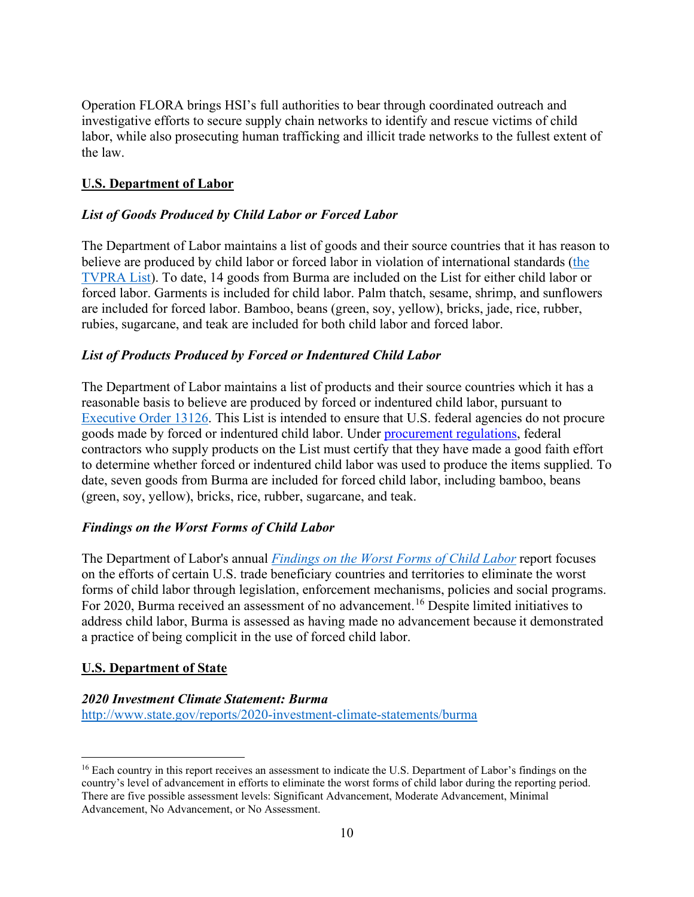Operation FLORA brings HSI's full authorities to bear through coordinated outreach and investigative efforts to secure supply chain networks to identify and rescue victims of child labor, while also prosecuting human trafficking and illicit trade networks to the fullest extent of the law.

# **U.S. Department of Labor**

# *List of Goods Produced by Child Labor or Forced Labor*

The Department of Labor maintains a list of goods and their source countries that it has reason to believe are produced by child labor or forced labor in violation of international standards [\(the](https://www.dol.gov/agencies/ilab/reports/child-labor/list-of-goods)  [TVPRA List\)](https://www.dol.gov/agencies/ilab/reports/child-labor/list-of-goods). To date, 14 goods from Burma are included on the List for either child labor or forced labor. Garments is included for child labor. Palm thatch, sesame, shrimp, and sunflowers are included for forced labor. Bamboo, beans (green, soy, yellow), bricks, jade, rice, rubber, rubies, sugarcane, and teak are included for both child labor and forced labor.

# *List of Products Produced by Forced or Indentured Child Labor*

The Department of Labor maintains a list of products and their source countries which it has a reasonable basis to believe are produced by forced or indentured child labor, pursuant to [Executive Order 13126.](https://www.dol.gov/agencies/ilab/about/laws) This List is intended to ensure that U.S. federal agencies do not procure goods made by forced or indentured child labor. Under [procurement regulations,](https://www.govinfo.gov/content/pkg/FR-2001-01-18/pdf/01-1503.pdf) federal contractors who supply products on the List must certify that they have made a good faith effort to determine whether forced or indentured child labor was used to produce the items supplied. To date, seven goods from Burma are included for forced child labor, including bamboo, beans (green, soy, yellow), bricks, rice, rubber, sugarcane, and teak.

# *Findings on the Worst Forms of Child Labor*

The Department of Labor's annual *[Findings on the Worst Forms of Child Labor](https://www.dol.gov/agencies/ilab/resources/reports/child-labor/findings)* report focuses on the efforts of certain U.S. trade beneficiary countries and territories to eliminate the worst forms of child labor through legislation, enforcement mechanisms, policies and social programs. For 2020, Burma received an assessment of no advancement.<sup>[16](#page-9-0)</sup> Despite limited initiatives to address child labor, Burma is assessed as having made no advancement because it demonstrated a practice of being complicit in the use of forced child labor.

# **U.S. Department of State**

#### *2020 Investment Climate Statement: Burma*

<http://www.state.gov/reports/2020-investment-climate-statements/burma>

<span id="page-9-0"></span><sup>&</sup>lt;sup>16</sup> Each country in this report receives an assessment to indicate the U.S. Department of Labor's findings on the country's level of advancement in efforts to eliminate the worst forms of child labor during the reporting period. There are five possible assessment levels: Significant Advancement, Moderate Advancement, Minimal Advancement, No Advancement, or No Assessment.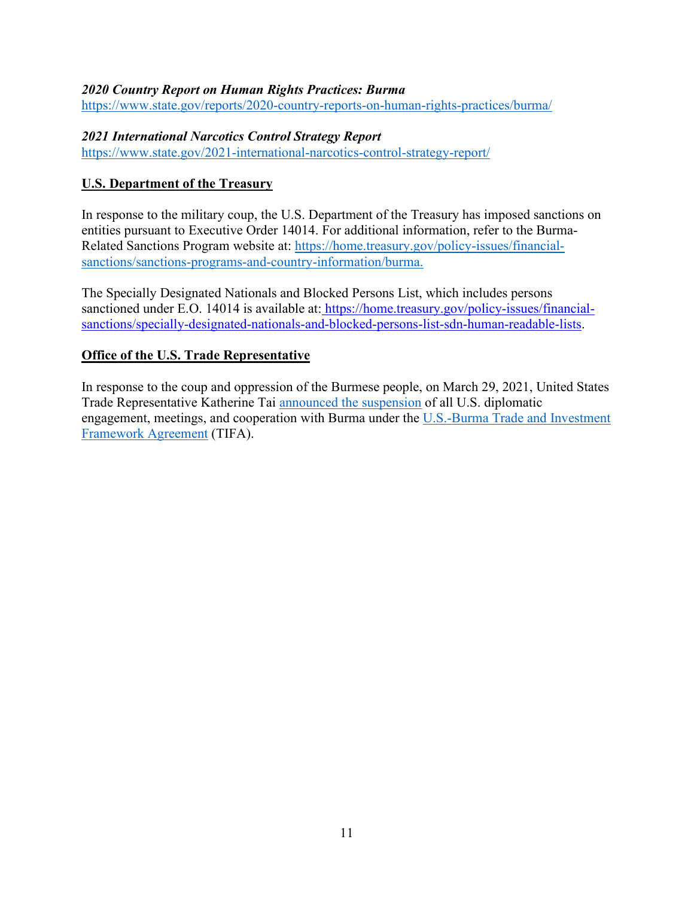#### *2020 Country Report on Human Rights Practices: Burma*

<https://www.state.gov/reports/2020-country-reports-on-human-rights-practices/burma/>

### *2021 International Narcotics Control Strategy Report*

<https://www.state.gov/2021-international-narcotics-control-strategy-report/>

# **U.S. Department of the Treasury**

In response to the military coup, the U.S. Department of the Treasury has imposed sanctions on entities pursuant to Executive Order 14014. For additional information, refer to the Burma-Related Sanctions Program website at: [https://home.treasury.gov/policy-issues/financial](https://home.treasury.gov/policy-issues/financial-sanctions/sanctions-programs-and-country-information/burma)[sanctions/sanctions-programs-and-country-information/burma.](https://home.treasury.gov/policy-issues/financial-sanctions/sanctions-programs-and-country-information/burma)

The Specially Designated Nationals and Blocked Persons List, which includes persons sanctioned under E.O. 14014 is available at: [https://home.treasury.gov/policy-issues/financial](https://home.treasury.gov/policy-issues/financial-sanctions/specially-designated-nationals-and-blocked-persons-list-sdn-human-readable-lists)[sanctions/specially-designated-nationals-and-blocked-persons-list-sdn-human-readable-lists.](https://home.treasury.gov/policy-issues/financial-sanctions/specially-designated-nationals-and-blocked-persons-list-sdn-human-readable-lists)

# **Office of the U.S. Trade Representative**

In response to the coup and oppression of the Burmese people, on March 29, 2021, United States Trade Representative Katherine Tai [announced the suspension](https://ustr.gov/countries-regions/southeast-asia-pacific/burma) of all U.S. diplomatic engagement, meetings, and cooperation with Burma under the [U.S.-Burma Trade and Investment](https://ustr.gov/sites/default/files/05212013%20US%20BURMA%20TIFA_0.pdf)  [Framework Agreement](https://ustr.gov/sites/default/files/05212013%20US%20BURMA%20TIFA_0.pdf) (TIFA).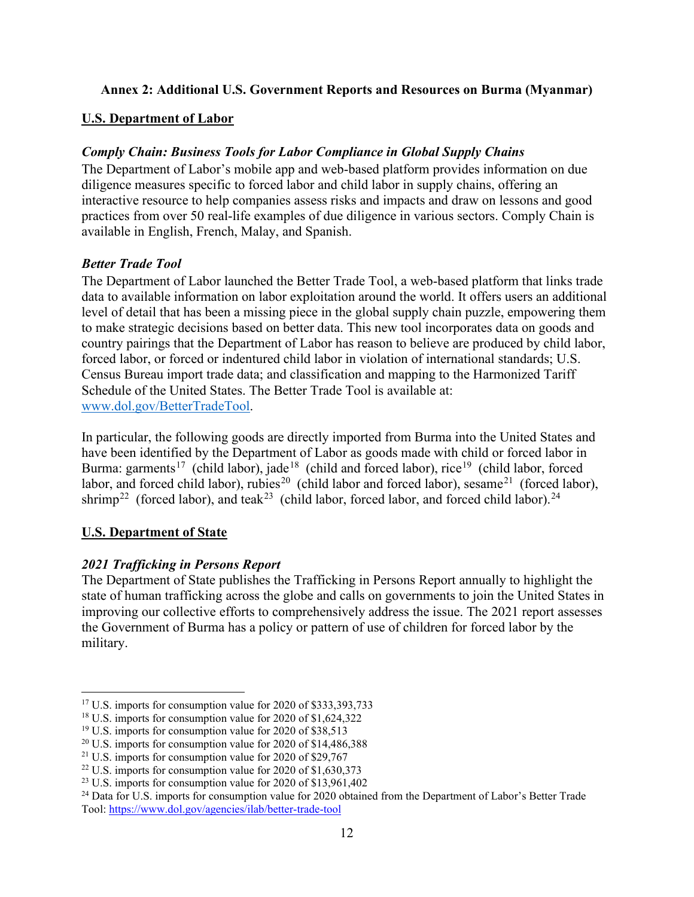# **Annex 2: Additional U.S. Government Reports and Resources on Burma (Myanmar)**

# **U.S. Department of Labor**

# *Comply Chain: Business Tools for Labor Compliance in Global Supply Chains*

The Department of Labor's mobile app and web-based platform provides information on due diligence measures specific to forced labor and child labor in supply chains, offering an interactive resource to help companies assess risks and impacts and draw on lessons and good practices from over 50 real-life examples of due diligence in various sectors. Comply Chain is available in English, French, Malay, and Spanish.

# *Better Trade Tool*

The Department of Labor launched the Better Trade Tool, a web-based platform that links trade data to available information on labor exploitation around the world. It offers users an additional level of detail that has been a missing piece in the global supply chain puzzle, empowering them to make strategic decisions based on better data. This new tool incorporates data on goods and country pairings that the Department of Labor has reason to believe are produced by child labor, forced labor, or forced or indentured child labor in violation of international standards; U.S. Census Bureau import trade data; and classification and mapping to the Harmonized Tariff Schedule of the United States. The Better Trade Tool is available at: [www.dol.gov/BetterTradeTool.](http://www.dol.gov/BetterTradeTool)

In particular, the following goods are directly imported from Burma into the United States and have been identified by the Department of Labor as goods made with child or forced labor in Burma: garments<sup>17</sup> (child labor), jade<sup>[18](#page-11-1)</sup> (child and forced labor), rice<sup>[19](#page-11-2)</sup> (child labor, forced labor, and forced child labor), rubies<sup>[20](#page-11-3)</sup> (child labor and forced labor), sesame<sup>21</sup> (forced labor), shrimp<sup>[22](#page-11-5)</sup> (forced labor), and teak<sup>[23](#page-11-6)</sup> (child labor, forced labor, and forced child labor).<sup>24</sup>

# **U.S. Department of State**

# *2021 Trafficking in Persons Report*

The Department of State publishes the Trafficking in Persons Report annually to highlight the state of human trafficking across the globe and calls on governments to join the United States in improving our collective efforts to comprehensively address the issue. The 2021 report assesses the Government of Burma has a policy or pattern of use of children for forced labor by the military.

<span id="page-11-0"></span><sup>&</sup>lt;sup>17</sup> U.S. imports for consumption value for 2020 of \$333,393,733

<span id="page-11-1"></span><sup>&</sup>lt;sup>18</sup> U.S. imports for consumption value for 2020 of \$1,624,322

<span id="page-11-2"></span><sup>&</sup>lt;sup>19</sup> U.S. imports for consumption value for 2020 of \$38,513

<span id="page-11-3"></span><sup>&</sup>lt;sup>20</sup> U.S. imports for consumption value for 2020 of \$14,486,388

<span id="page-11-4"></span><sup>&</sup>lt;sup>21</sup> U.S. imports for consumption value for 2020 of \$29,767

<span id="page-11-5"></span><sup>&</sup>lt;sup>22</sup> U.S. imports for consumption value for 2020 of \$1,630,373

<span id="page-11-6"></span> $23$  U.S. imports for consumption value for 2020 of \$13,961,402

<span id="page-11-7"></span><sup>&</sup>lt;sup>24</sup> Data for U.S. imports for consumption value for 2020 obtained from the Department of Labor's Better Trade Tool:<https://www.dol.gov/agencies/ilab/better-trade-tool>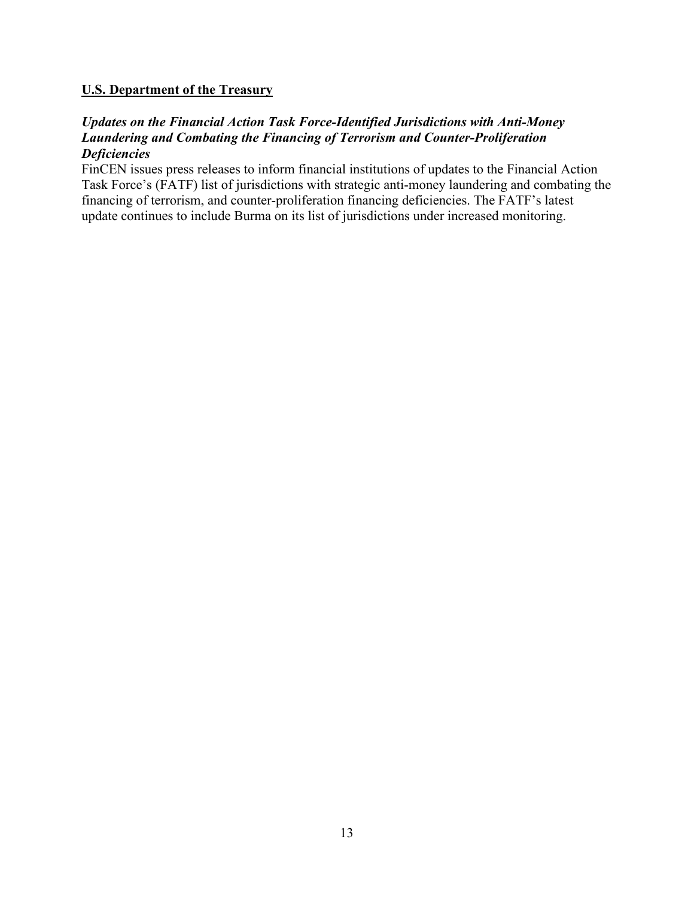### **U.S. Department of the Treasury**

### *Updates on the Financial Action Task Force-Identified Jurisdictions with Anti-Money Laundering and Combating the Financing of Terrorism and Counter-Proliferation Deficiencies*

FinCEN issues press releases to inform financial institutions of updates to the Financial Action Task Force's (FATF) list of jurisdictions with strategic anti-money laundering and combating the financing of terrorism, and counter-proliferation financing deficiencies. The FATF's latest update continues to include Burma on its list of jurisdictions under increased monitoring.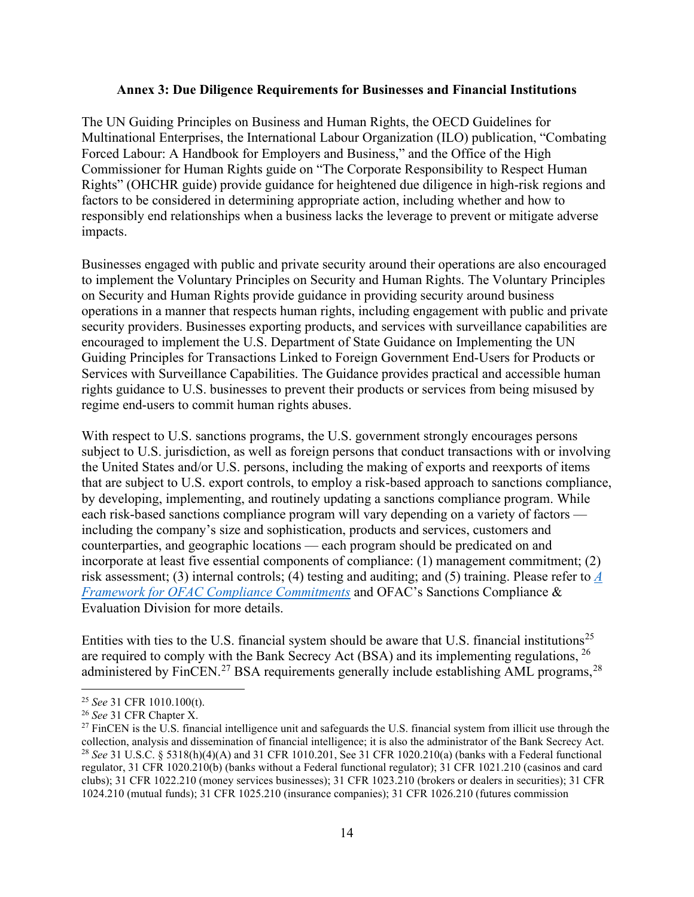#### **Annex 3: Due Diligence Requirements for Businesses and Financial Institutions**

The UN Guiding Principles on Business and Human Rights, the OECD Guidelines for Multinational Enterprises, the International Labour Organization (ILO) publication, "Combating Forced Labour: A Handbook for Employers and Business," and the Office of the High Commissioner for Human Rights guide on "The Corporate Responsibility to Respect Human Rights" (OHCHR guide) provide guidance for heightened due diligence in high-risk regions and factors to be considered in determining appropriate action, including whether and how to responsibly end relationships when a business lacks the leverage to prevent or mitigate adverse impacts.

Businesses engaged with public and private security around their operations are also encouraged to implement the Voluntary Principles on Security and Human Rights. The Voluntary Principles on Security and Human Rights provide guidance in providing security around business operations in a manner that respects human rights, including engagement with public and private security providers. Businesses exporting products, and services with surveillance capabilities are encouraged to implement the U.S. Department of State Guidance on Implementing the UN Guiding Principles for Transactions Linked to Foreign Government End-Users for Products or Services with Surveillance Capabilities. The Guidance provides practical and accessible human rights guidance to U.S. businesses to prevent their products or services from being misused by regime end-users to commit human rights abuses.

With respect to U.S. sanctions programs, the U.S. government strongly encourages persons subject to U.S. jurisdiction, as well as foreign persons that conduct transactions with or involving the United States and/or U.S. persons, including the making of exports and reexports of items that are subject to U.S. export controls, to employ a risk-based approach to sanctions compliance, by developing, implementing, and routinely updating a sanctions compliance program. While each risk-based sanctions compliance program will vary depending on a variety of factors including the company's size and sophistication, products and services, customers and counterparties, and geographic locations — each program should be predicated on and incorporate at least five essential components of compliance: (1) management commitment; (2) risk assessment; (3) internal controls; (4) testing and auditing; and (5) training. Please refer to *[A](https://home.treasury.gov/system/files/126/framework_ofac_cc.pdf)  [Framework for OFAC Compliance Commitments](https://home.treasury.gov/system/files/126/framework_ofac_cc.pdf)* and OFAC's Sanctions Compliance & Evaluation Division for more details.

Entities with ties to the U.S. financial system should be aware that U.S. financial institutions<sup>[25](#page-13-0)</sup> are required to comply with the Bank Secrecy Act (BSA) and its implementing regulations,  $^{26}$  $^{26}$  $^{26}$ administered by FinCEN.<sup>[27](#page-13-2)</sup> BSA requirements generally include establishing AML programs,<sup>[28](#page-13-3)</sup>

<span id="page-13-0"></span><sup>25</sup> *See* 31 CFR 1010.100(t).

<span id="page-13-1"></span><sup>26</sup> *See* 31 CFR Chapter X.

<span id="page-13-3"></span><span id="page-13-2"></span><sup>&</sup>lt;sup>27</sup> FinCEN is the U.S. financial intelligence unit and safeguards the U.S. financial system from illicit use through the collection, analysis and dissemination of financial intelligence; it is also the administrator of the Bank Secrecy Act. <sup>28</sup> *See* 31 U.S.C. § 5318(h)(4)(A) and 31 CFR 1010.201, See 31 CFR 1020.210(a) (banks with a Federal functional regulator, 31 CFR 1020.210(b) (banks without a Federal functional regulator); 31 CFR 1021.210 (casinos and card clubs); 31 CFR 1022.210 (money services businesses); 31 CFR 1023.210 (brokers or dealers in securities); 31 CFR 1024.210 (mutual funds); 31 CFR 1025.210 (insurance companies); 31 CFR 1026.210 (futures commission